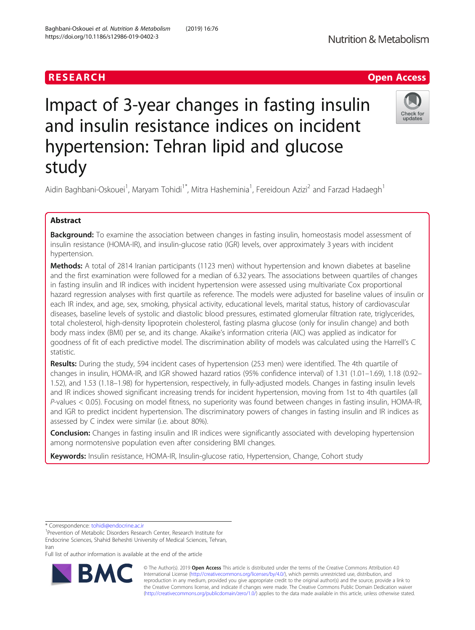# Impact of 3-year changes in fasting insulin and insulin resistance indices on incident hypertension: Tehran lipid and glucose study

Aidin Baghbani-Oskouei<sup>1</sup>, Maryam Tohidi<sup>1\*</sup>, Mitra Hasheminia<sup>1</sup>, Fereidoun Azizi<sup>2</sup> and Farzad Hadaegh<sup>1</sup>

# Abstract

Background: To examine the association between changes in fasting insulin, homeostasis model assessment of insulin resistance (HOMA-IR), and insulin-glucose ratio (IGR) levels, over approximately 3 years with incident hypertension.

**Methods:** A total of 2814 Iranian participants (1123 men) without hypertension and known diabetes at baseline and the first examination were followed for a median of 6.32 years. The associations between quartiles of changes in fasting insulin and IR indices with incident hypertension were assessed using multivariate Cox proportional hazard regression analyses with first quartile as reference. The models were adjusted for baseline values of insulin or each IR index, and age, sex, smoking, physical activity, educational levels, marital status, history of cardiovascular diseases, baseline levels of systolic and diastolic blood pressures, estimated glomerular filtration rate, triglycerides, total cholesterol, high-density lipoprotein cholesterol, fasting plasma glucose (only for insulin change) and both body mass index (BMI) per se, and its change. Akaike's information criteria (AIC) was applied as indicator for goodness of fit of each predictive model. The discrimination ability of models was calculated using the Harrell's C statistic.

Results: During the study, 594 incident cases of hypertension (253 men) were identified. The 4th quartile of changes in insulin, HOMA-IR, and IGR showed hazard ratios (95% confidence interval) of 1.31 (1.01–1.69), 1.18 (0.92– 1.52), and 1.53 (1.18–1.98) for hypertension, respectively, in fully-adjusted models. Changes in fasting insulin levels and IR indices showed significant increasing trends for incident hypertension, moving from 1st to 4th quartiles (all P-values < 0.05). Focusing on model fitness, no superiority was found between changes in fasting insulin, HOMA-IR, and IGR to predict incident hypertension. The discriminatory powers of changes in fasting insulin and IR indices as assessed by C index were similar (i.e. about 80%).

**Conclusion:** Changes in fasting insulin and IR indices were significantly associated with developing hypertension among normotensive population even after considering BMI changes.

Keywords: Insulin resistance, HOMA-IR, Insulin-glucose ratio, Hypertension, Change, Cohort study

\* Correspondence: [tohidi@endocrine.ac.ir](mailto:tohidi@endocrine.ac.ir) <sup>1</sup>

<sup>1</sup>Prevention of Metabolic Disorders Research Center, Research Institute for Endocrine Sciences, Shahid Beheshti University of Medical Sciences, Tehran, Iran

Full list of author information is available at the end of the article

© The Author(s). 2019 Open Access This article is distributed under the terms of the Creative Commons Attribution 4.0 International License [\(http://creativecommons.org/licenses/by/4.0/](http://creativecommons.org/licenses/by/4.0/)), which permits unrestricted use, distribution, and reproduction in any medium, provided you give appropriate credit to the original author(s) and the source, provide a link to the Creative Commons license, and indicate if changes were made. The Creative Commons Public Domain Dedication waiver [\(http://creativecommons.org/publicdomain/zero/1.0/](http://creativecommons.org/publicdomain/zero/1.0/)) applies to the data made available in this article, unless otherwise stated.





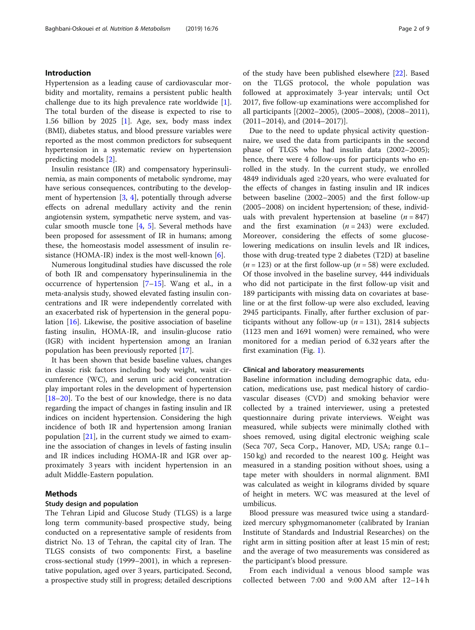# Introduction

Hypertension as a leading cause of cardiovascular morbidity and mortality, remains a persistent public health challenge due to its high prevalence rate worldwide [\[1](#page-7-0)]. The total burden of the disease is expected to rise to 1.56 billion by 2025 [\[1](#page-7-0)]. Age, sex, body mass index (BMI), diabetes status, and blood pressure variables were reported as the most common predictors for subsequent hypertension in a systematic review on hypertension predicting models [\[2](#page-7-0)].

Insulin resistance (IR) and compensatory hyperinsulinemia, as main components of metabolic syndrome, may have serious consequences, contributing to the development of hypertension [[3,](#page-7-0) [4](#page-7-0)], potentially through adverse effects on adrenal medullary activity and the renin angiotensin system, sympathetic nerve system, and vascular smooth muscle tone  $[4, 5]$  $[4, 5]$  $[4, 5]$  $[4, 5]$ . Several methods have been proposed for assessment of IR in humans; among these, the homeostasis model assessment of insulin resistance (HOMA-IR) index is the most well-known  $[6]$  $[6]$ .

Numerous longitudinal studies have discussed the role of both IR and compensatory hyperinsulinemia in the occurrence of hypertension [\[7](#page-7-0)–[15\]](#page-8-0). Wang et al., in a meta-analysis study, showed elevated fasting insulin concentrations and IR were independently correlated with an exacerbated risk of hypertension in the general population [[16\]](#page-8-0). Likewise, the positive association of baseline fasting insulin, HOMA-IR, and insulin-glucose ratio (IGR) with incident hypertension among an Iranian population has been previously reported [[17\]](#page-8-0).

It has been shown that beside baseline values, changes in classic risk factors including body weight, waist circumference (WC), and serum uric acid concentration play important roles in the development of hypertension [[18](#page-8-0)–[20](#page-8-0)]. To the best of our knowledge, there is no data regarding the impact of changes in fasting insulin and IR indices on incident hypertension. Considering the high incidence of both IR and hypertension among Iranian population  $[21]$ , in the current study we aimed to examine the association of changes in levels of fasting insulin and IR indices including HOMA-IR and IGR over approximately 3 years with incident hypertension in an adult Middle-Eastern population.

# Methods

# Study design and population

The Tehran Lipid and Glucose Study (TLGS) is a large long term community-based prospective study, being conducted on a representative sample of residents from district No. 13 of Tehran, the capital city of Iran. The TLGS consists of two components: First, a baseline cross-sectional study (1999–2001), in which a representative population, aged over 3 years, participated. Second, a prospective study still in progress; detailed descriptions of the study have been published elsewhere [[22\]](#page-8-0). Based on the TLGS protocol, the whole population was followed at approximately 3-year intervals; until Oct 2017, five follow-up examinations were accomplished for all participants [(2002–2005), (2005–2008), (2008–2011), (2011–2014), and (2014–2017)].

Due to the need to update physical activity questionnaire, we used the data from participants in the second phase of TLGS who had insulin data (2002–2005); hence, there were 4 follow-ups for participants who enrolled in the study. In the current study, we enrolled 4849 individuals aged ≥20 years, who were evaluated for the effects of changes in fasting insulin and IR indices between baseline (2002–2005) and the first follow-up (2005–2008) on incident hypertension; of these, individuals with prevalent hypertension at baseline  $(n = 847)$ and the first examination  $(n = 243)$  were excluded. Moreover, considering the effects of some glucoselowering medications on insulin levels and IR indices, those with drug-treated type 2 diabetes (T2D) at baseline  $(n = 123)$  or at the first follow-up  $(n = 58)$  were excluded. Of those involved in the baseline survey, 444 individuals who did not participate in the first follow-up visit and 189 participants with missing data on covariates at baseline or at the first follow-up were also excluded, leaving 2945 participants. Finally, after further exclusion of participants without any follow-up ( $n = 131$ ), 2814 subjects (1123 men and 1691 women) were remained, who were monitored for a median period of 6.32 years after the first examination (Fig. [1\)](#page-2-0).

#### Clinical and laboratory measurements

Baseline information including demographic data, education, medications use, past medical history of cardiovascular diseases (CVD) and smoking behavior were collected by a trained interviewer, using a pretested questionnaire during private interviews. Weight was measured, while subjects were minimally clothed with shoes removed, using digital electronic weighing scale (Seca 707, Seca Corp., Hanover, MD, USA; range 0.1– 150 kg) and recorded to the nearest 100 g. Height was measured in a standing position without shoes, using a tape meter with shoulders in normal alignment. BMI was calculated as weight in kilograms divided by square of height in meters. WC was measured at the level of umbilicus.

Blood pressure was measured twice using a standardized mercury sphygmomanometer (calibrated by Iranian Institute of Standards and Industrial Researches) on the right arm in sitting position after at least 15 min of rest; and the average of two measurements was considered as the participant's blood pressure.

From each individual a venous blood sample was collected between 7:00 and 9:00 AM after 12–14 h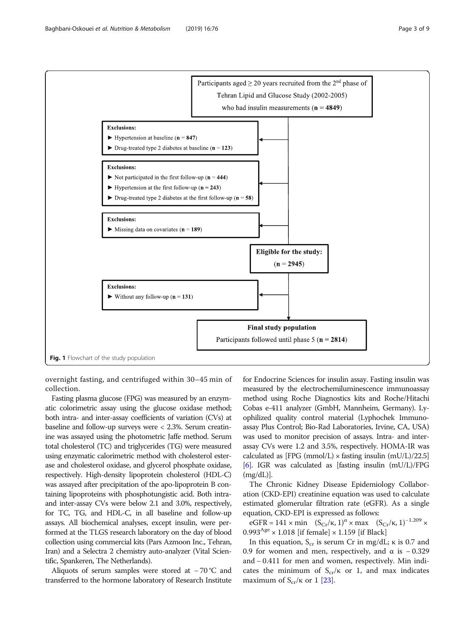<span id="page-2-0"></span>

overnight fasting, and centrifuged within 30–45 min of collection.

Fasting plasma glucose (FPG) was measured by an enzymatic colorimetric assay using the glucose oxidase method; both intra- and inter-assay coefficients of variation (CVs) at baseline and follow-up surveys were < 2.3%. Serum creatinine was assayed using the photometric Jaffe method. Serum total cholesterol (TC) and triglycerides (TG) were measured using enzymatic calorimetric method with cholesterol esterase and cholesterol oxidase, and glycerol phosphate oxidase, respectively. High-density lipoprotein cholesterol (HDL-C) was assayed after precipitation of the apo-lipoprotein B containing lipoproteins with phosphotungistic acid. Both intraand inter-assay CVs were below 2.1 and 3.0%, respectively, for TC, TG, and HDL-C, in all baseline and follow-up assays. All biochemical analyses, except insulin, were performed at the TLGS research laboratory on the day of blood collection using commercial kits (Pars Azmoon Inc., Tehran, Iran) and a Selectra 2 chemistry auto-analyzer (Vital Scientific, Spankeren, The Netherlands).

Aliquots of serum samples were stored at − 70 °C and transferred to the hormone laboratory of Research Institute for Endocrine Sciences for insulin assay. Fasting insulin was measured by the electrochemiluminescence immunoassay method using Roche Diagnostics kits and Roche/Hitachi Cobas e-411 analyzer (GmbH, Mannheim, Germany). Lyophilized quality control material (Lyphochek Immunoassay Plus Control; Bio-Rad Laboratories, Irvine, CA, USA) was used to monitor precision of assays. Intra- and interassay CVs were 1.2 and 3.5%, respectively. HOMA-IR was calculated as [FPG (mmol/L)  $\times$  fasting insulin (mU/L)/22.5] [[6](#page-7-0)]. IGR was calculated as [fasting insulin (mU/L)/FPG  $(mg/dL)$ ].

The Chronic Kidney Disease Epidemiology Collaboration (CKD-EPI) creatinine equation was used to calculate estimated glomerular filtration rate (eGFR). As a single equation, CKD-EPI is expressed as follows:

eGFR = 141 × min  $(S_{Cr}/\kappa, 1)^\alpha$  × max  $(S_{Cr}/\kappa, 1)^{-1.209}$  ×  $0.993<sup>Age</sup> \times 1.018$  [if female]  $\times 1.159$  [if Black]

In this equation,  $S_{cr}$  is serum Cr in mg/dL;  $\kappa$  is 0.7 and 0.9 for women and men, respectively, and  $\alpha$  is −0.329 and − 0.411 for men and women, respectively. Min indicates the minimum of  $S_{cr}/\kappa$  or 1, and max indicates maximum of  $S_{cr}/\kappa$  or 1 [\[23](#page-8-0)].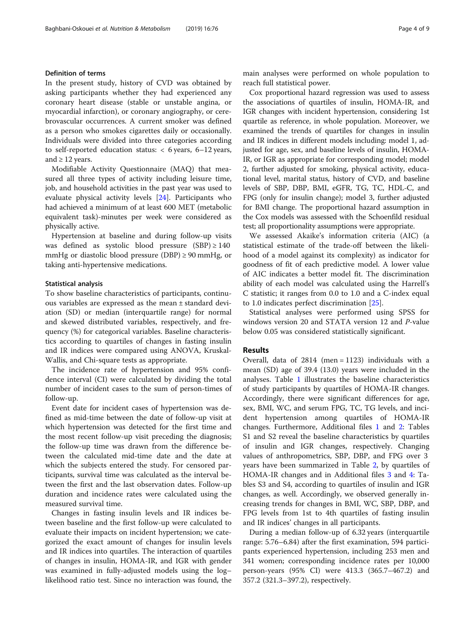# Definition of terms

In the present study, history of CVD was obtained by asking participants whether they had experienced any coronary heart disease (stable or unstable angina, or myocardial infarction), or coronary angiography, or cerebrovascular occurrences. A current smoker was defined as a person who smokes cigarettes daily or occasionally. Individuals were divided into three categories according to self-reported education status: < 6 years, 6–12 years, and  $\geq$  12 years.

Modifiable Activity Questionnaire (MAQ) that measured all three types of activity including leisure time, job, and household activities in the past year was used to evaluate physical activity levels [[24\]](#page-8-0). Participants who had achieved a minimum of at least 600 MET (metabolic equivalent task)-minutes per week were considered as physically active.

Hypertension at baseline and during follow-up visits was defined as systolic blood pressure  $(SBP) \ge 140$ mmHg or diastolic blood pressure (DBP)  $\geq$  90 mmHg, or taking anti-hypertensive medications.

#### Statistical analysis

To show baseline characteristics of participants, continuous variables are expressed as the mean ± standard deviation (SD) or median (interquartile range) for normal and skewed distributed variables, respectively, and frequency (%) for categorical variables. Baseline characteristics according to quartiles of changes in fasting insulin and IR indices were compared using ANOVA, Kruskal-Wallis, and Chi-square tests as appropriate.

The incidence rate of hypertension and 95% confidence interval (CI) were calculated by dividing the total number of incident cases to the sum of person-times of follow-up.

Event date for incident cases of hypertension was defined as mid-time between the date of follow-up visit at which hypertension was detected for the first time and the most recent follow-up visit preceding the diagnosis; the follow-up time was drawn from the difference between the calculated mid-time date and the date at which the subjects entered the study. For censored participants, survival time was calculated as the interval between the first and the last observation dates. Follow-up duration and incidence rates were calculated using the measured survival time.

Changes in fasting insulin levels and IR indices between baseline and the first follow-up were calculated to evaluate their impacts on incident hypertension; we categorized the exact amount of changes for insulin levels and IR indices into quartiles. The interaction of quartiles of changes in insulin, HOMA-IR, and IGR with gender was examined in fully-adjusted models using the log– likelihood ratio test. Since no interaction was found, the main analyses were performed on whole population to reach full statistical power.

Cox proportional hazard regression was used to assess the associations of quartiles of insulin, HOMA-IR, and IGR changes with incident hypertension, considering 1st quartile as reference, in whole population. Moreover, we examined the trends of quartiles for changes in insulin and IR indices in different models including: model 1, adjusted for age, sex, and baseline levels of insulin, HOMA-IR, or IGR as appropriate for corresponding model; model 2, further adjusted for smoking, physical activity, educational level, marital status, history of CVD, and baseline levels of SBP, DBP, BMI, eGFR, TG, TC, HDL-C, and FPG (only for insulin change); model 3, further adjusted for BMI change. The proportional hazard assumption in the Cox models was assessed with the Schoenfild residual test; all proportionality assumptions were appropriate.

We assessed Akaike's information criteria (AIC) (a statistical estimate of the trade-off between the likelihood of a model against its complexity) as indicator for goodness of fit of each predictive model. A lower value of AIC indicates a better model fit. The discrimination ability of each model was calculated using the Harrell's C statistic; it ranges from 0.0 to 1.0 and a C-index equal to 1.0 indicates perfect discrimination [[25\]](#page-8-0).

Statistical analyses were performed using SPSS for windows version 20 and STATA version 12 and P-value below 0.05 was considered statistically significant.

#### Results

Overall, data of 2814 (men = 1123) individuals with a mean (SD) age of 39.4 (13.0) years were included in the analyses. Table [1](#page-4-0) illustrates the baseline characteristics of study participants by quartiles of HOMA-IR changes. Accordingly, there were significant differences for age, sex, BMI, WC, and serum FPG, TC, TG levels, and incident hypertension among quartiles of HOMA-IR changes. Furthermore, Additional files [1](#page-7-0) and [2](#page-7-0): Tables S1 and S2 reveal the baseline characteristics by quartiles of insulin and IGR changes, respectively. Changing values of anthropometrics, SBP, DBP, and FPG over 3 years have been summarized in Table [2](#page-5-0), by quartiles of HOMA-IR changes and in Additional files [3](#page-7-0) and [4](#page-7-0): Tables S3 and S4, according to quartiles of insulin and IGR changes, as well. Accordingly, we observed generally increasing trends for changes in BMI, WC, SBP, DBP, and FPG levels from 1st to 4th quartiles of fasting insulin and IR indices' changes in all participants.

During a median follow-up of 6.32 years (interquartile range: 5.76–6.84) after the first examination, 594 participants experienced hypertension, including 253 men and 341 women; corresponding incidence rates per 10,000 person-years (95% CI) were 413.3 (365.7–467.2) and 357.2 (321.3–397.2), respectively.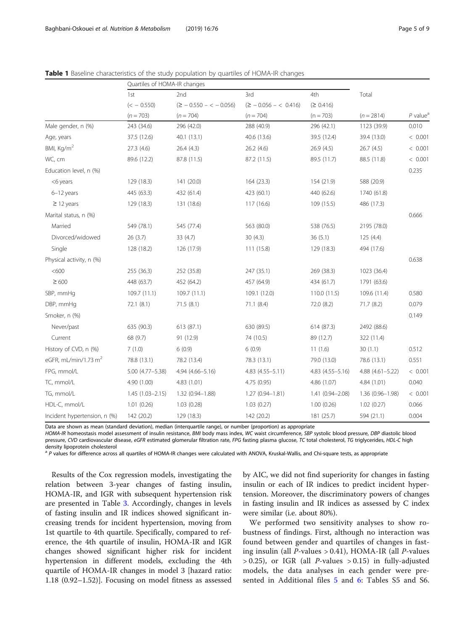|                                  | Quartiles of HOMA-IR changes |                              |                           |                    |                  |                        |
|----------------------------------|------------------------------|------------------------------|---------------------------|--------------------|------------------|------------------------|
|                                  | 1st                          | 2nd                          | 3rd                       | 4th                | Total            |                        |
|                                  | $(< -0.550)$                 | $(\geq -0.550 - \lt -0.056)$ | $(\geq -0.056 - < 0.416)$ | (≥ 0.416)          |                  |                        |
|                                  | $(n = 703)$                  | $(n = 704)$                  | $(n = 704)$               | $(n = 703)$        | $(n = 2814)$     | $P$ value <sup>a</sup> |
| Male gender, n (%)               | 243 (34.6)                   | 296 (42.0)                   | 288 (40.9)                | 296 (42.1)         | 1123 (39.9)      | 0.010                  |
| Age, years                       | 37.5 (12.6)                  | 40.1(13.1)                   | 40.6 (13.6)               | 39.5 (12.4)        | 39.4 (13.0)      | < 0.001                |
| BMI, Kg/m <sup>2</sup>           | 27.3(4.6)                    | 26.4(4.3)                    | 26.2(4.6)                 | 26.9(4.5)          | 26.7(4.5)        | < 0.001                |
| WC, cm                           | 89.6 (12.2)                  | 87.8 (11.5)                  | 87.2 (11.5)               | 89.5 (11.7)        | 88.5 (11.8)      | < 0.001                |
| Education level, n (%)           |                              |                              |                           |                    |                  | 0.235                  |
| <6 years                         | 129 (18.3)                   | 141 (20.0)                   | 164 (23.3)                | 154 (21.9)         | 588 (20.9)       |                        |
| $6-12$ years                     | 445 (63.3)                   | 432 (61.4)                   | 423 (60.1)                | 440 (62.6)         | 1740 (61.8)      |                        |
| $\geq$ 12 years                  | 129 (18.3)                   | 131 (18.6)                   | 117 (16.6)                | 109 (15.5)         | 486 (17.3)       |                        |
| Marital status, n (%)            |                              |                              |                           |                    |                  | 0.666                  |
| Married                          | 549 (78.1)                   | 545 (77.4)                   | 563 (80.0)                | 538 (76.5)         | 2195 (78.0)      |                        |
| Divorced/widowed                 | 26(3.7)                      | 33(4.7)                      | 30(4.3)                   | 36(5.1)            | 125(4.4)         |                        |
| Single                           | 128 (18.2)                   | 126 (17.9)                   | 111 (15.8)                | 129 (18.3)         | 494 (17.6)       |                        |
| Physical activity, n (%)         |                              |                              |                           |                    |                  | 0.638                  |
| < 600                            | 255 (36.3)                   | 252 (35.8)                   | 247 (35.1)                | 269 (38.3)         | 1023 (36.4)      |                        |
| $\geq 600$                       | 448 (63.7)                   | 452 (64.2)                   | 457 (64.9)                | 434 (61.7)         | 1791 (63.6)      |                        |
| SBP, mmHg                        | 109.7(11.1)                  | 109.7(11.1)                  | 109.1 (12.0)              | 110.0(11.5)        | 109.6 (11.4)     | 0.580                  |
| DBP, mmHq                        | 72.1 (8.1)                   | 71.5(8.1)                    | 71.1(8.4)                 | 72.0 (8.2)         | 71.7(8.2)        | 0.079                  |
| Smoker, n (%)                    |                              |                              |                           |                    |                  | 0.149                  |
| Never/past                       | 635 (90.3)                   | 613 (87.1)                   | 630 (89.5)                | 614 (87.3)         | 2492 (88.6)      |                        |
| Current                          | 68 (9.7)                     | 91 (12.9)                    | 74 (10.5)                 | 89 (12.7)          | 322 (11.4)       |                        |
| History of CVD, n (%)            | 7(1.0)                       | 6(0.9)                       | 6(0.9)                    | 11(1.6)            | 30(1.1)          | 0.512                  |
| eGFR, mL/min/1.73 m <sup>2</sup> | 78.8 (13.1)                  | 78.2 (13.4)                  | 78.3 (13.1)               | 79.0 (13.0)        | 78.6 (13.1)      | 0.551                  |
| FPG, mmol/L                      | 5.00 (4.77-5.38)             | $4.94(4.66 - 5.16)$          | $4.83(4.55 - 5.11)$       | 4.83 (4.55 - 5.16) | 4.88 (4.61-5.22) | < 0.001                |
| TC, mmol/L                       | 4.90 (1.00)                  | 4.83(1.01)                   | 4.75 (0.95)               | 4.86 (1.07)        | 4.84 (1.01)      | 0.040                  |
| TG, mmol/L                       | $1.45(1.03 - 2.15)$          | 1.32 (0.94-1.88)             | $1.27(0.94 - 1.81)$       | 1.41 (0.94-2.08)   | 1.36 (0.96-1.98) | < 0.001                |
| HDL-C, mmol/L                    | 1.01(0.26)                   | 1.03(0.28)                   | 1.03(0.27)                | 1.00(0.26)         | 1.02(0.27)       | 0.066                  |
| Incident hypertension, n (%)     | 142 (20.2)                   | 129 (18.3)                   | 142 (20.2)                | 181 (25.7)         | 594 (21.1)       | 0.004                  |

<span id="page-4-0"></span>Table 1 Baseline characteristics of the study population by quartiles of HOMA-IR changes

Data are shown as mean (standard deviation), median (interquartile range), or number (proportion) as appropriate

HOMA-IR homeostasis model assessment of insulin resistance, BMI body mass index, WC waist circumference, SBP systolic blood pressure, DBP diastolic blood pressure, CVD cardiovascular disease, eGFR estimated glomerular filtration rate, FPG fasting plasma glucose, TC total cholesterol, TG triglycerides, HDL-C high density lipoprotein cholesterol

<sup>a</sup> P values for difference across all quartiles of HOMA-IR changes were calculated with ANOVA, Kruskal-Wallis, and Chi-square tests, as appropriate

Results of the Cox regression models, investigating the relation between 3-year changes of fasting insulin, HOMA-IR, and IGR with subsequent hypertension risk are presented in Table [3.](#page-5-0) Accordingly, changes in levels of fasting insulin and IR indices showed significant increasing trends for incident hypertension, moving from 1st quartile to 4th quartile. Specifically, compared to reference, the 4th quartile of insulin, HOMA-IR and IGR changes showed significant higher risk for incident hypertension in different models, excluding the 4th quartile of HOMA-IR changes in model 3 [hazard ratio: 1.18 (0.92–1.52)]. Focusing on model fitness as assessed by AIC, we did not find superiority for changes in fasting insulin or each of IR indices to predict incident hypertension. Moreover, the discriminatory powers of changes in fasting insulin and IR indices as assessed by C index were similar (i.e. about 80%).

We performed two sensitivity analyses to show robustness of findings. First, although no interaction was found between gender and quartiles of changes in fasting insulin (all *P*-values  $> 0.41$ ), HOMA-IR (all *P*-values  $> 0.25$ ), or IGR (all *P*-values  $> 0.15$ ) in fully-adjusted models, the data analyses in each gender were presented in Additional files [5](#page-7-0) and [6](#page-7-0): Tables S5 and S6.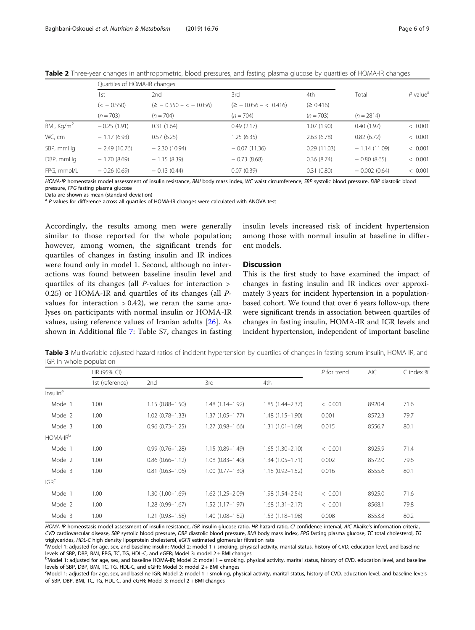|                        | Quartiles of HOMA-IR changes |                              |                         |             |                |                        |
|------------------------|------------------------------|------------------------------|-------------------------|-------------|----------------|------------------------|
|                        | 1st                          | 2nd                          | 3rd                     | 4th         | Total          | $P$ value <sup>a</sup> |
|                        | $(< -0.550)$                 | $(\geq$ - 0.550 - < - 0.056) | $(2 - 0.056 - < 0.416)$ | (2 0.416)   |                |                        |
|                        | $(n = 703)$                  | $(n = 704)$                  | $(n = 704)$             | $(n = 703)$ | $(n = 2814)$   |                        |
| BMI, Kg/m <sup>2</sup> | $-0.25(1.91)$                | 0.31(1.64)                   | 0.49(2.17)              | 1.07(1.90)  | 0.40(1.97)     | < 0.001                |
| WC, cm                 | $-1.17(6.93)$                | 0.57(6.25)                   | 1.25 (6.35)             | 2.63(6.78)  | 0.82(6.72)     | < 0.001                |
| SBP, mmHg              | $-2.49(10.76)$               | $-2.30(10.94)$               | $-0.07(11.36)$          | 0.29(11.03) | $-1.14(11.09)$ | < 0.001                |
| DBP, mmHq              | $-1.70(8.69)$                | $-1.15(8.39)$                | $-0.73(8.68)$           | 0.36(8.74)  | $-0.80(8.65)$  | < 0.001                |
| FPG, mmol/L            | $-0.26(0.69)$                | $-0.13(0.44)$                | 0.07(0.39)              | 0.31(0.80)  | $-0.002(0.64)$ | < 0.001                |

<span id="page-5-0"></span>Table 2 Three-year changes in anthropometric, blood pressures, and fasting plasma glucose by quartiles of HOMA-IR changes

HOMA-IR homeostasis model assessment of insulin resistance, BMI body mass index, WC waist circumference, SBP systolic blood pressure, DBP diastolic blood pressure, FPG fasting plasma glucose

Data are shown as mean (standard deviation)

 $a$  P values for difference across all quartiles of HOMA-IR changes were calculated with ANOVA test

Accordingly, the results among men were generally similar to those reported for the whole population; however, among women, the significant trends for quartiles of changes in fasting insulin and IR indices were found only in model 1. Second, although no interactions was found between baseline insulin level and quartiles of its changes (all P-values for interaction > 0.25) or HOMA-IR and quartiles of its changes (all Pvalues for interaction  $> 0.42$ ), we reran the same analyses on participants with normal insulin or HOMA-IR values, using reference values of Iranian adults [[26\]](#page-8-0). As shown in Additional file [7](#page-7-0): Table S7, changes in fasting

insulin levels increased risk of incident hypertension among those with normal insulin at baseline in different models.

# **Discussion**

This is the first study to have examined the impact of changes in fasting insulin and IR indices over approximately 3 years for incident hypertension in a populationbased cohort. We found that over 6 years follow-up, there were significant trends in association between quartiles of changes in fasting insulin, HOMA-IR and IGR levels and incident hypertension, independent of important baseline

Table 3 Multivariable-adjusted hazard ratios of incident hypertension by quartiles of changes in fasting serum insulin, HOMA-IR, and IGR in whole population

|                      | HR (95% CI)     |                     |                     |                     | $P$ for trend | <b>AIC</b> | C index % |
|----------------------|-----------------|---------------------|---------------------|---------------------|---------------|------------|-----------|
|                      | 1st (reference) | 2nd                 | 3rd                 | 4th                 |               |            |           |
| Insulin <sup>a</sup> |                 |                     |                     |                     |               |            |           |
| Model 1              | 1.00            | $1.15(0.88 - 1.50)$ | $1.48(1.14 - 1.92)$ | $1.85(1.44 - 2.37)$ | < 0.001       | 8920.4     | 71.6      |
| Model 2              | 1.00            | $1.02(0.78 - 1.33)$ | $1.37(1.05 - 1.77)$ | $1.48(1.15 - 1.90)$ | 0.001         | 8572.3     | 79.7      |
| Model 3              | 1.00            | $0.96(0.73 - 1.25)$ | $1.27(0.98 - 1.66)$ | $1.31(1.01 - 1.69)$ | 0.015         | 8556.7     | 80.1      |
| HOMA-IR <sup>b</sup> |                 |                     |                     |                     |               |            |           |
| Model 1              | 1.00            | $0.99(0.76 - 1.28)$ | $1.15(0.89 - 1.49)$ | $1.65(1.30 - 2.10)$ | < 0.001       | 8925.9     | 71.4      |
| Model 2              | 1.00            | $0.86(0.66 - 1.12)$ | $1.08(0.83 - 1.40)$ | $1.34(1.05 - 1.71)$ | 0.002         | 8572.0     | 79.6      |
| Model 3              | 1.00            | $0.81(0.63 - 1.06)$ | $1.00(0.77 - 1.30)$ | $1.18(0.92 - 1.52)$ | 0.016         | 8555.6     | 80.1      |
| IGR <sup>c</sup>     |                 |                     |                     |                     |               |            |           |
| Model 1              | 1.00            | $1.30(1.00 - 1.69)$ | $1.62(1.25 - 2.09)$ | $1.98(1.54 - 2.54)$ | < 0.001       | 8925.0     | 71.6      |
| Model 2              | 1.00            | 1.28 (0.99-1.67)    | $1.52(1.17 - 1.97)$ | $1.68(1.31 - 2.17)$ | < 0.001       | 8568.1     | 79.8      |
| Model 3              | 1.00            | $1.21(0.93 - 1.58)$ | 1.40 (1.08-1.82)    | $1.53(1.18 - 1.98)$ | 0.008         | 8553.8     | 80.2      |

HOMA-IR homeostasis model assessment of insulin resistance, IGR insulin-glucose ratio, HR hazard ratio, CI confidence interval, AIC Akaike's information criteria, CVD cardiovascular disease, SBP systolic blood pressure, DBP diastolic blood pressure, BMI body mass index, FPG fasting plasma glucose, TC total cholesterol, TG triglycerides, HDL-C high density lipoprotein cholesterol, eGFR estimated glomerular filtration rate

<sup>a</sup>Model 1: adjusted for age, sex, and baseline insulin; Model 2: model 1 + smoking, physical activity, marital status, history of CVD, education level, and baseline levels of SBP, DBP, BMI, FPG, TC, TG, HDL-C, and eGFR; Model 3: model 2 + BMI changes

b<br>Model 1: adjusted for age, sex, and baseline HOMA-IR; Model 2: model 1 + smoking, physical activity, marital status, history of CVD, education level, and baseline levels of SBP, DBP, BMI, TC, TG, HDL-C, and eGFR; Model 3: model 2 + BMI changes

c Model 1: adjusted for age, sex, and baseline IGR; Model 2: model 1 + smoking, physical activity, marital status, history of CVD, education level, and baseline levels of SBP, DBP, BMI, TC, TG, HDL-C, and eGFR; Model 3: model 2 + BMI changes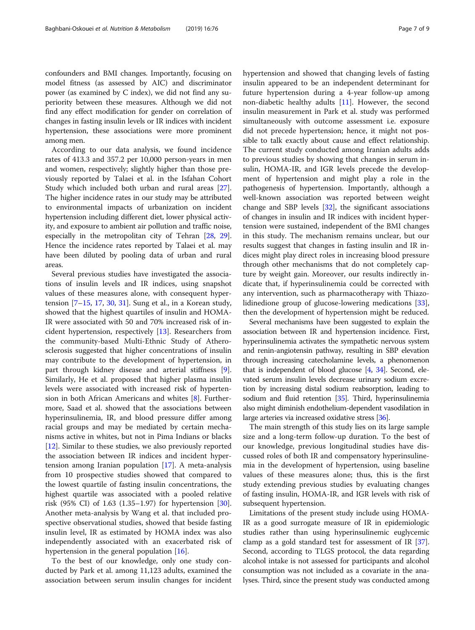confounders and BMI changes. Importantly, focusing on model fitness (as assessed by AIC) and discriminator power (as examined by C index), we did not find any superiority between these measures. Although we did not find any effect modification for gender on correlation of changes in fasting insulin levels or IR indices with incident hypertension, these associations were more prominent among men.

According to our data analysis, we found incidence rates of 413.3 and 357.2 per 10,000 person-years in men and women, respectively; slightly higher than those previously reported by Talaei et al. in the Isfahan Cohort Study which included both urban and rural areas [\[27](#page-8-0)]. The higher incidence rates in our study may be attributed to environmental impacts of urbanization on incident hypertension including different diet, lower physical activity, and exposure to ambient air pollution and traffic noise, especially in the metropolitan city of Tehran [[28](#page-8-0), [29](#page-8-0)]. Hence the incidence rates reported by Talaei et al. may have been diluted by pooling data of urban and rural areas.

Several previous studies have investigated the associations of insulin levels and IR indices, using snapshot values of these measures alone, with consequent hypertension [[7](#page-7-0)–[15](#page-8-0), [17](#page-8-0), [30](#page-8-0), [31\]](#page-8-0). Sung et al., in a Korean study, showed that the highest quartiles of insulin and HOMA-IR were associated with 50 and 70% increased risk of incident hypertension, respectively [\[13](#page-7-0)]. Researchers from the community-based Multi-Ethnic Study of Atherosclerosis suggested that higher concentrations of insulin may contribute to the development of hypertension, in part through kidney disease and arterial stiffness [\[9](#page-7-0)]. Similarly, He et al. proposed that higher plasma insulin levels were associated with increased risk of hypertension in both African Americans and whites [[8\]](#page-7-0). Furthermore, Saad et al. showed that the associations between hyperinsulinemia, IR, and blood pressure differ among racial groups and may be mediated by certain mechanisms active in whites, but not in Pima Indians or blacks [[12\]](#page-7-0). Similar to these studies, we also previously reported the association between IR indices and incident hypertension among Iranian population [[17\]](#page-8-0). A meta-analysis from 10 prospective studies showed that compared to the lowest quartile of fasting insulin concentrations, the highest quartile was associated with a pooled relative risk (95% CI) of 1.63 (1.35–1.97) for hypertension [\[30](#page-8-0)]. Another meta-analysis by Wang et al. that included prospective observational studies, showed that beside fasting insulin level, IR as estimated by HOMA index was also independently associated with an exacerbated risk of hypertension in the general population [[16\]](#page-8-0).

To the best of our knowledge, only one study conducted by Park et al. among 11,123 adults, examined the association between serum insulin changes for incident hypertension and showed that changing levels of fasting insulin appeared to be an independent determinant for future hypertension during a 4-year follow-up among non-diabetic healthy adults [\[11](#page-7-0)]. However, the second insulin measurement in Park et al. study was performed simultaneously with outcome assessment i.e. exposure did not precede hypertension; hence, it might not possible to talk exactly about cause and effect relationship. The current study conducted among Iranian adults adds to previous studies by showing that changes in serum insulin, HOMA-IR, and IGR levels precede the development of hypertension and might play a role in the pathogenesis of hypertension. Importantly, although a well-known association was reported between weight change and SBP levels [\[32](#page-8-0)], the significant associations of changes in insulin and IR indices with incident hypertension were sustained, independent of the BMI changes in this study. The mechanism remains unclear, but our results suggest that changes in fasting insulin and IR indices might play direct roles in increasing blood pressure through other mechanisms that do not completely capture by weight gain. Moreover, our results indirectly indicate that, if hyperinsulinemia could be corrected with any intervention, such as pharmacotherapy with Thiazolidinedione group of glucose-lowering medications [\[33](#page-8-0)], then the development of hypertension might be reduced.

Several mechanisms have been suggested to explain the association between IR and hypertension incidence. First, hyperinsulinemia activates the sympathetic nervous system and renin-angiotensin pathway, resulting in SBP elevation through increasing catecholamine levels, a phenomenon that is independent of blood glucose [[4](#page-7-0), [34\]](#page-8-0). Second, elevated serum insulin levels decrease urinary sodium excretion by increasing distal sodium reabsorption, leading to sodium and fluid retention [\[35\]](#page-8-0). Third, hyperinsulinemia also might diminish endothelium-dependent vasodilation in large arteries via increased oxidative stress [[36](#page-8-0)].

The main strength of this study lies on its large sample size and a long-term follow-up duration. To the best of our knowledge, previous longitudinal studies have discussed roles of both IR and compensatory hyperinsulinemia in the development of hypertension, using baseline values of these measures alone; thus, this is the first study extending previous studies by evaluating changes of fasting insulin, HOMA-IR, and IGR levels with risk of subsequent hypertension.

Limitations of the present study include using HOMA-IR as a good surrogate measure of IR in epidemiologic studies rather than using hyperinsulinemic euglycemic clamp as a gold standard test for assessment of IR [[37](#page-8-0)]. Second, according to TLGS protocol, the data regarding alcohol intake is not assessed for participants and alcohol consumption was not included as a covariate in the analyses. Third, since the present study was conducted among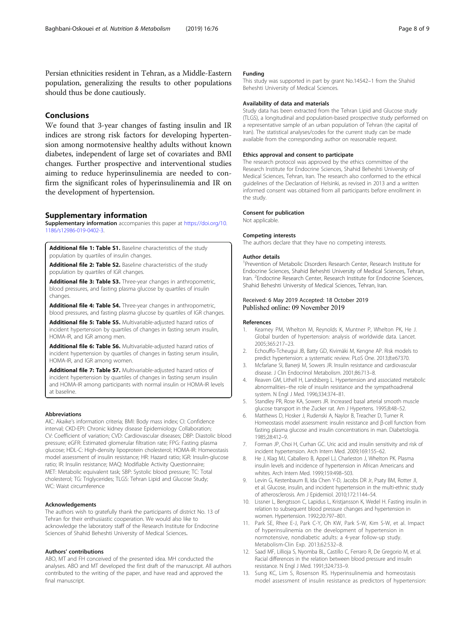<span id="page-7-0"></span>Persian ethnicities resident in Tehran, as a Middle-Eastern population, generalizing the results to other populations should thus be done cautiously.

# Conclusions

We found that 3-year changes of fasting insulin and IR indices are strong risk factors for developing hypertension among normotensive healthy adults without known diabetes, independent of large set of covariates and BMI changes. Further prospective and interventional studies aiming to reduce hyperinsulinemia are needed to confirm the significant roles of hyperinsulinemia and IR on the development of hypertension.

#### Supplementary information

Supplementary information accompanies this paper at [https://doi.org/10.](https://doi.org/10.1186/s12986-019-0402-3) [1186/s12986-019-0402-3.](https://doi.org/10.1186/s12986-019-0402-3)

Additional file 1: Table S1. Baseline characteristics of the study population by quartiles of insulin changes.

Additional file 2: Table S2. Baseline characteristics of the study population by quartiles of IGR changes.

Additional file 3: Table S3. Three-year changes in anthropometric, blood pressures, and fasting plasma glucose by quartiles of insulin changes.

Additional file 4: Table S4. Three-year changes in anthropometric, blood pressures, and fasting plasma glucose by quartiles of IGR changes.

Additional file 5: Table S5. Multivariable-adjusted hazard ratios of incident hypertension by quartiles of changes in fasting serum insulin, HOMA-IR, and IGR among men.

Additional file 6: Table S6. Multivariable-adjusted hazard ratios of incident hypertension by quartiles of changes in fasting serum insulin, HOMA-IR, and IGR among women.

Additional file 7: Table S7. Multivariable-adjusted hazard ratios of incident hypertension by quartiles of changes in fasting serum insulin and HOMA-IR among participants with normal insulin or HOMA-IR levels at baseline.

#### Abbreviations

AIC: Akaike's information criteria; BMI: Body mass index; CI: Confidence interval; CKD-EPI: Chronic kidney disease Epidemiology Collaboration; CV: Coefficient of variation; CVD: Cardiovascular diseases; DBP: Diastolic blood pressure; eGFR: Estimated glomerular filtration rate; FPG: Fasting plasma glucose; HDL-C: High-density lipoprotein cholesterol; HOMA-IR: Homeostasis model assessment of insulin resistance; HR: Hazard ratio; IGR: Insulin-glucose ratio; IR: Insulin resistance; MAQ: Modifiable Activity Questionnaire; MET: Metabolic equivalent task; SBP: Systolic blood pressure; TC: Total cholesterol; TG: Triglycerides; TLGS: Tehran Lipid and Glucose Study; WC: Waist circumference

#### Acknowledgements

The authors wish to gratefully thank the participants of district No. 13 of Tehran for their enthusiastic cooperation. We would also like to acknowledge the laboratory staff of the Research Institute for Endocrine Sciences of Shahid Beheshti University of Medical Sciences.

#### Authors' contributions

ABO, MT and FH conceived of the presented idea. MH conducted the analyses. ABO and MT developed the first draft of the manuscript. All authors contributed to the writing of the paper, and have read and approved the final manuscript.

#### Funding

This study was supported in part by grant No.14542–1 from the Shahid Beheshti University of Medical Sciences.

## Availability of data and materials

Study data has been extracted from the Tehran Lipid and Glucose study (TLGS), a longitudinal and population-based prospective study performed on a representative sample of an urban population of Tehran (the capital of Iran). The statistical analyses/codes for the current study can be made available from the corresponding author on reasonable request.

#### Ethics approval and consent to participate

The research protocol was approved by the ethics committee of the Research Institute for Endocrine Sciences, Shahid Beheshti University of Medical Sciences, Tehran, Iran. The research also conformed to the ethical guidelines of the Declaration of Helsinki, as revised in 2013 and a written informed consent was obtained from all participants before enrollment in the study.

## Consent for publication

Not applicable.

# Competing interests

The authors declare that they have no competing interests.

#### Author details

<sup>1</sup> Prevention of Metabolic Disorders Research Center, Research Institute for Endocrine Sciences, Shahid Beheshti University of Medical Sciences, Tehran, Iran. <sup>2</sup> Endocrine Research Center, Research Institute for Endocrine Sciences, Shahid Beheshti University of Medical Sciences, Tehran, Iran.

#### Received: 6 May 2019 Accepted: 18 October 2019 Published online: 09 November 2019

#### References

- 1. Kearney PM, Whelton M, Reynolds K, Muntner P, Whelton PK, He J. Global burden of hypertension: analysis of worldwide data. Lancet. 2005;365:217–23.
- 2. Echouffo-Tcheugui JB, Batty GD, Kivimäki M, Kengne AP. Risk models to predict hypertension: a systematic review. PLoS One. 2013;8:e67370.
- 3. Mcfarlane SI, Banerji M, Sowers JR. Insulin resistance and cardiovascular disease. J Clin Endocrinol Metabolism. 2001;86:713–8.
- 4. Reaven GM, Lithell H, Landsberg L. Hypertension and associated metabolic abnormalities--the role of insulin resistance and the sympathoadrenal system. N Engl J Med. 1996;334:374–81.
- 5. Standley PR, Rose KA, Sowers JR. Increased basal arterial smooth muscle glucose transport in the Zucker rat. Am J Hypertens. 1995;8:48–52.
- 6. Matthews D, Hosker J, Rudenski A, Naylor B, Treacher D, Turner R. Homeostasis model assessment: insulin resistance and β-cell function from fasting plasma glucose and insulin concentrations in man. Diabetologia. 1985;28:412–9.
- 7. Forman JP, Choi H, Curhan GC. Uric acid and insulin sensitivity and risk of incident hypertension. Arch Intern Med. 2009;169:155–62.
- 8. He J, Klag MJ, Caballero B, Appel LJ, Charleston J, Whelton PK. Plasma insulin levels and incidence of hypertension in African Americans and whites. Arch Intern Med. 1999;159:498–503.
- 9. Levin G, Kestenbaum B, Ida Chen Y-D, Jacobs DR Jr, Psaty BM, Rotter JI, et al. Glucose, insulin, and incident hypertension in the multi-ethnic study of atherosclerosis. Am J Epidemiol. 2010;172:1144–54.
- 10. Lissner L, Bengtsson C, Lapidus L, Kristjansson K, Wedel H. Fasting insulin in relation to subsequent blood pressure changes and hypertension in women. Hypertension. 1992;20:797–801.
- 11. Park SE, Rhee E-J, Park C-Y, Oh KW, Park S-W, Kim S-W, et al. Impact of hyperinsulinemia on the development of hypertension in normotensive, nondiabetic adults: a 4-year follow-up study. Metabolism-Clin Exp. 2013;62:532–8.
- 12. Saad MF, Lillioja S, Nyomba BL, Castillo C, Ferraro R, De Gregorio M, et al. Racial differences in the relation between blood pressure and insulin resistance. N Engl J Med. 1991;324:733–9.
- 13. Sung KC, Lim S, Rosenson RS. Hyperinsulinemia and homeostasis model assessment of insulin resistance as predictors of hypertension: